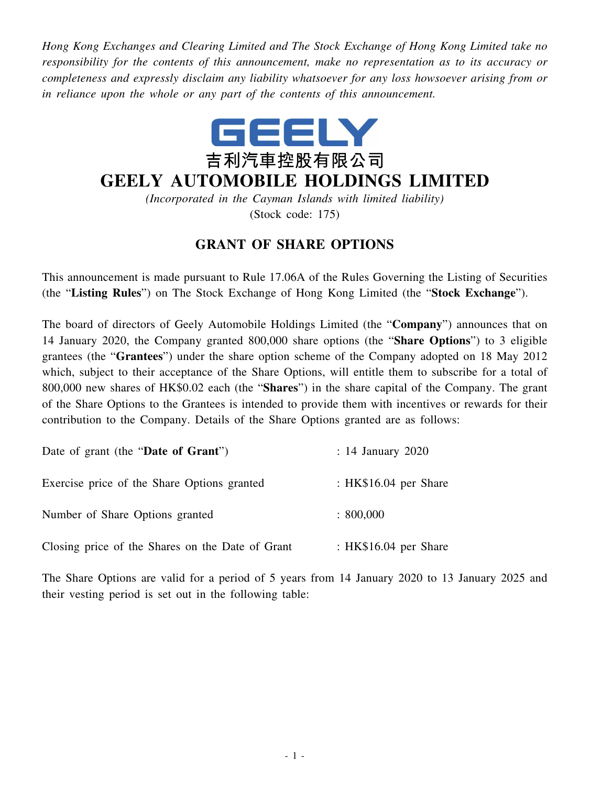*Hong Kong Exchanges and Clearing Limited and The Stock Exchange of Hong Kong Limited take no responsibility for the contents of this announcement, make no representation as to its accuracy or completeness and expressly disclaim any liability whatsoever for any loss howsoever arising from or in reliance upon the whole or any part of the contents of this announcement.*



## **GEELY AUTOMOBILE HOLDINGS LIMITED**

*(Incorporated in the Cayman Islands with limited liability)* (Stock code: 175)

## **GRANT OF SHARE OPTIONS**

This announcement is made pursuant to Rule 17.06A of the Rules Governing the Listing of Securities (the "**Listing Rules**") on The Stock Exchange of Hong Kong Limited (the "**Stock Exchange**").

The board of directors of Geely Automobile Holdings Limited (the "**Company**") announces that on 14 January 2020, the Company granted 800,000 share options (the "**Share Options**") to 3 eligible grantees (the "**Grantees**") under the share option scheme of the Company adopted on 18 May 2012 which, subject to their acceptance of the Share Options, will entitle them to subscribe for a total of 800,000 new shares of HK\$0.02 each (the "**Shares**") in the share capital of the Company. The grant of the Share Options to the Grantees is intended to provide them with incentives or rewards for their contribution to the Company. Details of the Share Options granted are as follows:

| Date of grant (the "Date of Grant")              | $: 14$ January 2020    |
|--------------------------------------------------|------------------------|
| Exercise price of the Share Options granted      | : $HK$16.04$ per Share |
| Number of Share Options granted                  | : 800,000              |
| Closing price of the Shares on the Date of Grant | : HK\$16.04 per Share  |

The Share Options are valid for a period of 5 years from 14 January 2020 to 13 January 2025 and their vesting period is set out in the following table: